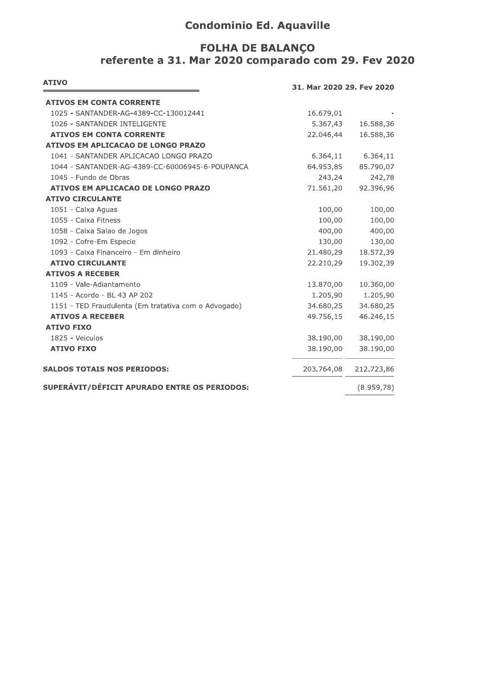## **Condominio Ed. Aquaville**

## **FOLHA DE BALANÇO** referente a 31. Mar 2020 comparado com 29. Fev 2020

| <b>ATIVO</b><br>31. Mar 2020 29. Fev 2020            |            |            |
|------------------------------------------------------|------------|------------|
| <b>ATIVOS EM CONTA CORRENTE</b>                      |            |            |
| 1025 - SANTANDER-AG-4389-CC-130012441                | 16.679,01  |            |
| 1026 - SANTANDER INTELIGENTE                         | 5.367,43   | 16.588,36  |
| <b>ATIVOS EM CONTA CORRENTE</b>                      | 22.046,44  | 16.588,36  |
| <b>ATIVOS EM APLICACAO DE LONGO PRAZO</b>            |            |            |
| 1041 - SANTANDER APLICACAO LONGO PRAZO               | 6.364,11   | 6.364,11   |
| 1044 - SANTANDER-AG-4389-CC-60006945-6-POUPANCA      | 64.953,85  | 85.790,07  |
| 1045 - Fundo de Obras                                | 243,24     | 242,78     |
| ATIVOS EM APLICACAO DE LONGO PRAZO                   | 71.561,20  | 92.396,96  |
| <b>ATIVO CIRCULANTE</b>                              |            |            |
| 1051 - Caixa Aguas                                   | 100,00     | 100,00     |
| 1055 - Caixa Fitness                                 | 100,00     | 100,00     |
| 1058 - Caixa Salao de Jogos                          | 400,00     | 400,00     |
| 1092 - Cofre-Em Especie                              | 130,00     | 130,00     |
| 1093 - Caixa Financeiro - Em dinheiro                | 21.480,29  | 18.572,39  |
| <b>ATIVO CIRCULANTE</b>                              | 22.210,29  | 19.302,39  |
| <b>ATIVOS A RECEBER</b>                              |            |            |
| 1109 - Vale-Adiantamento                             | 13.870,00  | 10.360,00  |
| 1145 - Acordo - BL 43 AP 202                         | 1.205,90   | 1.205,90   |
| 1151 - TED Fraudulenta (Em tratativa com o Advogado) | 34.680,25  | 34.680,25  |
| <b>ATIVOS A RECEBER</b>                              | 49.756,15  | 46.246,15  |
| <b>ATIVO FIXO</b>                                    |            |            |
| 1825 - Veiculos                                      | 38.190,00  | 38.190,00  |
| <b>ATIVO FIXO</b>                                    | 38.190,00  | 38.190,00  |
| <b>SALDOS TOTAIS NOS PERIODOS:</b>                   | 203.764,08 | 212.723,86 |
| SUPERÁVIT/DÉFICIT APURADO ENTRE OS PERIODOS:         |            | (8.959,78) |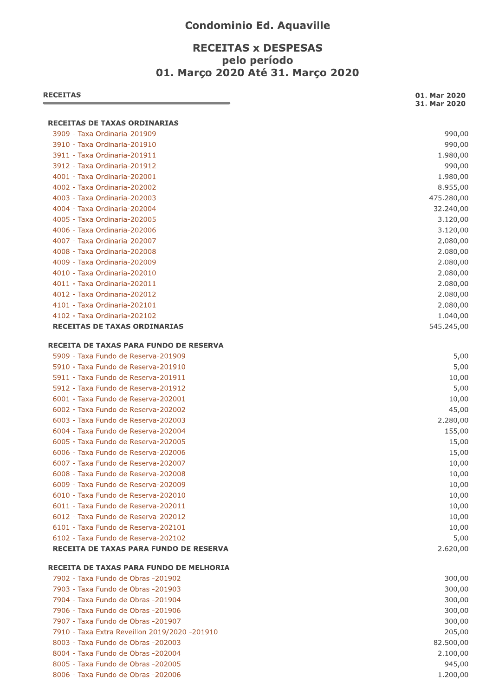## **Condominio Ed. Aquaville**

## **RECEITAS x DESPESAS** pelo período 01. Marco 2020 Até 31. Marco 2020

| 3909 - Taxa Ordinaria-201909<br>3910 - Taxa Ordinaria-201910<br>3911 - Taxa Ordinaria-201911<br>3912 - Taxa Ordinaria-201912<br>4001 - Taxa Ordinaria-202001<br>4002 - Taxa Ordinaria-202002<br>4003 - Taxa Ordinaria-202003<br>4004 - Taxa Ordinaria-202004<br>4005 - Taxa Ordinaria-202005<br>4006 - Taxa Ordinaria-202006<br>4007 - Taxa Ordinaria-202007<br>4008 - Taxa Ordinaria-202008<br>4009 - Taxa Ordinaria-202009<br>4010 - Taxa Ordinaria-202010<br>4011 - Taxa Ordinaria-202011<br>4012 - Taxa Ordinaria-202012<br>4101 - Taxa Ordinaria-202101<br>4102 - Taxa Ordinaria-202102<br><b>RECEITAS DE TAXAS ORDINARIAS</b><br>5909 - Taxa Fundo de Reserva-201909<br>5910 - Taxa Fundo de Reserva-201910<br>5911 - Taxa Fundo de Reserva-201911<br>5912 - Taxa Fundo de Reserva-201912<br>6001 - Taxa Fundo de Reserva-202001<br>6002 - Taxa Fundo de Reserva-202002<br>6003 - Taxa Fundo de Reserva-202003<br>6004 - Taxa Fundo de Reserva-202004<br>6005 - Taxa Fundo de Reserva-202005<br>6006 - Taxa Fundo de Reserva-202006<br>6007 - Taxa Fundo de Reserva-202007<br>6008 - Taxa Fundo de Reserva-202008<br>6009 - Taxa Fundo de Reserva-202009<br>6010 - Taxa Fundo de Reserva-202010<br>6011 - Taxa Fundo de Reserva-202011<br>6012 - Taxa Fundo de Reserva-202012<br>6101 - Taxa Fundo de Reserva-202101<br>6102 - Taxa Fundo de Reserva-202102<br>RECEITA DE TAXAS PARA FUNDO DE RESERVA<br>7902 - Taxa Fundo de Obras -201902<br>7903 - Taxa Fundo de Obras -201903<br>7904 - Taxa Fundo de Obras -201904<br>7906 - Taxa Fundo de Obras -201906<br>7907 - Taxa Fundo de Obras -201907<br>7910 - Taxa Extra Reveillon 2019/2020 -201910<br>8003 - Taxa Fundo de Obras -202003<br>8004 - Taxa Fundo de Obras -202004<br>8005 - Taxa Fundo de Obras -202005<br>8006 - Taxa Fundo de Obras -202006 | <b>RECEITAS DE TAXAS ORDINARIAS</b><br>RECEITA DE TAXAS PARA FUNDO DE RESERVA<br>RECEITA DE TAXAS PARA FUNDO DE MELHORIA | <b>RECEITAS</b> | 01. Mar 2020<br>31. Mar 2020 |
|--------------------------------------------------------------------------------------------------------------------------------------------------------------------------------------------------------------------------------------------------------------------------------------------------------------------------------------------------------------------------------------------------------------------------------------------------------------------------------------------------------------------------------------------------------------------------------------------------------------------------------------------------------------------------------------------------------------------------------------------------------------------------------------------------------------------------------------------------------------------------------------------------------------------------------------------------------------------------------------------------------------------------------------------------------------------------------------------------------------------------------------------------------------------------------------------------------------------------------------------------------------------------------------------------------------------------------------------------------------------------------------------------------------------------------------------------------------------------------------------------------------------------------------------------------------------------------------------------------------------------------------------------------------------------------------------------------------------------------------------------------------------------------------------------------------------|--------------------------------------------------------------------------------------------------------------------------|-----------------|------------------------------|
|                                                                                                                                                                                                                                                                                                                                                                                                                                                                                                                                                                                                                                                                                                                                                                                                                                                                                                                                                                                                                                                                                                                                                                                                                                                                                                                                                                                                                                                                                                                                                                                                                                                                                                                                                                                                                    |                                                                                                                          |                 |                              |
| 15,00<br>300,00<br>300,00<br>300,00<br>300,00<br>300,00<br>205,00<br>82.500,00<br>2.100,00<br>945,00<br>1.200,00                                                                                                                                                                                                                                                                                                                                                                                                                                                                                                                                                                                                                                                                                                                                                                                                                                                                                                                                                                                                                                                                                                                                                                                                                                                                                                                                                                                                                                                                                                                                                                                                                                                                                                   |                                                                                                                          |                 | 990,00                       |
|                                                                                                                                                                                                                                                                                                                                                                                                                                                                                                                                                                                                                                                                                                                                                                                                                                                                                                                                                                                                                                                                                                                                                                                                                                                                                                                                                                                                                                                                                                                                                                                                                                                                                                                                                                                                                    |                                                                                                                          |                 | 990,00                       |
|                                                                                                                                                                                                                                                                                                                                                                                                                                                                                                                                                                                                                                                                                                                                                                                                                                                                                                                                                                                                                                                                                                                                                                                                                                                                                                                                                                                                                                                                                                                                                                                                                                                                                                                                                                                                                    |                                                                                                                          |                 | 1.980,00                     |
|                                                                                                                                                                                                                                                                                                                                                                                                                                                                                                                                                                                                                                                                                                                                                                                                                                                                                                                                                                                                                                                                                                                                                                                                                                                                                                                                                                                                                                                                                                                                                                                                                                                                                                                                                                                                                    |                                                                                                                          |                 | 990,00                       |
|                                                                                                                                                                                                                                                                                                                                                                                                                                                                                                                                                                                                                                                                                                                                                                                                                                                                                                                                                                                                                                                                                                                                                                                                                                                                                                                                                                                                                                                                                                                                                                                                                                                                                                                                                                                                                    |                                                                                                                          |                 | 1.980,00                     |
|                                                                                                                                                                                                                                                                                                                                                                                                                                                                                                                                                                                                                                                                                                                                                                                                                                                                                                                                                                                                                                                                                                                                                                                                                                                                                                                                                                                                                                                                                                                                                                                                                                                                                                                                                                                                                    |                                                                                                                          |                 | 8.955,00                     |
|                                                                                                                                                                                                                                                                                                                                                                                                                                                                                                                                                                                                                                                                                                                                                                                                                                                                                                                                                                                                                                                                                                                                                                                                                                                                                                                                                                                                                                                                                                                                                                                                                                                                                                                                                                                                                    |                                                                                                                          |                 | 475.280,00                   |
|                                                                                                                                                                                                                                                                                                                                                                                                                                                                                                                                                                                                                                                                                                                                                                                                                                                                                                                                                                                                                                                                                                                                                                                                                                                                                                                                                                                                                                                                                                                                                                                                                                                                                                                                                                                                                    |                                                                                                                          |                 | 32.240,00                    |
|                                                                                                                                                                                                                                                                                                                                                                                                                                                                                                                                                                                                                                                                                                                                                                                                                                                                                                                                                                                                                                                                                                                                                                                                                                                                                                                                                                                                                                                                                                                                                                                                                                                                                                                                                                                                                    |                                                                                                                          |                 | 3.120,00                     |
|                                                                                                                                                                                                                                                                                                                                                                                                                                                                                                                                                                                                                                                                                                                                                                                                                                                                                                                                                                                                                                                                                                                                                                                                                                                                                                                                                                                                                                                                                                                                                                                                                                                                                                                                                                                                                    |                                                                                                                          |                 | 3.120,00                     |
|                                                                                                                                                                                                                                                                                                                                                                                                                                                                                                                                                                                                                                                                                                                                                                                                                                                                                                                                                                                                                                                                                                                                                                                                                                                                                                                                                                                                                                                                                                                                                                                                                                                                                                                                                                                                                    |                                                                                                                          |                 | 2.080,00                     |
|                                                                                                                                                                                                                                                                                                                                                                                                                                                                                                                                                                                                                                                                                                                                                                                                                                                                                                                                                                                                                                                                                                                                                                                                                                                                                                                                                                                                                                                                                                                                                                                                                                                                                                                                                                                                                    |                                                                                                                          |                 | 2.080,00                     |
|                                                                                                                                                                                                                                                                                                                                                                                                                                                                                                                                                                                                                                                                                                                                                                                                                                                                                                                                                                                                                                                                                                                                                                                                                                                                                                                                                                                                                                                                                                                                                                                                                                                                                                                                                                                                                    |                                                                                                                          |                 | 2.080,00                     |
|                                                                                                                                                                                                                                                                                                                                                                                                                                                                                                                                                                                                                                                                                                                                                                                                                                                                                                                                                                                                                                                                                                                                                                                                                                                                                                                                                                                                                                                                                                                                                                                                                                                                                                                                                                                                                    |                                                                                                                          |                 | 2.080,00                     |
|                                                                                                                                                                                                                                                                                                                                                                                                                                                                                                                                                                                                                                                                                                                                                                                                                                                                                                                                                                                                                                                                                                                                                                                                                                                                                                                                                                                                                                                                                                                                                                                                                                                                                                                                                                                                                    |                                                                                                                          |                 | 2.080,00                     |
|                                                                                                                                                                                                                                                                                                                                                                                                                                                                                                                                                                                                                                                                                                                                                                                                                                                                                                                                                                                                                                                                                                                                                                                                                                                                                                                                                                                                                                                                                                                                                                                                                                                                                                                                                                                                                    |                                                                                                                          |                 | 2.080,00                     |
|                                                                                                                                                                                                                                                                                                                                                                                                                                                                                                                                                                                                                                                                                                                                                                                                                                                                                                                                                                                                                                                                                                                                                                                                                                                                                                                                                                                                                                                                                                                                                                                                                                                                                                                                                                                                                    |                                                                                                                          |                 | 2.080,00                     |
|                                                                                                                                                                                                                                                                                                                                                                                                                                                                                                                                                                                                                                                                                                                                                                                                                                                                                                                                                                                                                                                                                                                                                                                                                                                                                                                                                                                                                                                                                                                                                                                                                                                                                                                                                                                                                    |                                                                                                                          |                 | 1.040,00                     |
|                                                                                                                                                                                                                                                                                                                                                                                                                                                                                                                                                                                                                                                                                                                                                                                                                                                                                                                                                                                                                                                                                                                                                                                                                                                                                                                                                                                                                                                                                                                                                                                                                                                                                                                                                                                                                    |                                                                                                                          |                 | 545.245,00                   |
|                                                                                                                                                                                                                                                                                                                                                                                                                                                                                                                                                                                                                                                                                                                                                                                                                                                                                                                                                                                                                                                                                                                                                                                                                                                                                                                                                                                                                                                                                                                                                                                                                                                                                                                                                                                                                    |                                                                                                                          |                 |                              |
|                                                                                                                                                                                                                                                                                                                                                                                                                                                                                                                                                                                                                                                                                                                                                                                                                                                                                                                                                                                                                                                                                                                                                                                                                                                                                                                                                                                                                                                                                                                                                                                                                                                                                                                                                                                                                    |                                                                                                                          |                 | 5,00                         |
|                                                                                                                                                                                                                                                                                                                                                                                                                                                                                                                                                                                                                                                                                                                                                                                                                                                                                                                                                                                                                                                                                                                                                                                                                                                                                                                                                                                                                                                                                                                                                                                                                                                                                                                                                                                                                    |                                                                                                                          |                 | 5,00                         |
|                                                                                                                                                                                                                                                                                                                                                                                                                                                                                                                                                                                                                                                                                                                                                                                                                                                                                                                                                                                                                                                                                                                                                                                                                                                                                                                                                                                                                                                                                                                                                                                                                                                                                                                                                                                                                    |                                                                                                                          |                 | 10,00                        |
|                                                                                                                                                                                                                                                                                                                                                                                                                                                                                                                                                                                                                                                                                                                                                                                                                                                                                                                                                                                                                                                                                                                                                                                                                                                                                                                                                                                                                                                                                                                                                                                                                                                                                                                                                                                                                    |                                                                                                                          |                 | 5,00                         |
|                                                                                                                                                                                                                                                                                                                                                                                                                                                                                                                                                                                                                                                                                                                                                                                                                                                                                                                                                                                                                                                                                                                                                                                                                                                                                                                                                                                                                                                                                                                                                                                                                                                                                                                                                                                                                    |                                                                                                                          |                 | 10,00                        |
|                                                                                                                                                                                                                                                                                                                                                                                                                                                                                                                                                                                                                                                                                                                                                                                                                                                                                                                                                                                                                                                                                                                                                                                                                                                                                                                                                                                                                                                                                                                                                                                                                                                                                                                                                                                                                    |                                                                                                                          |                 | 45,00                        |
|                                                                                                                                                                                                                                                                                                                                                                                                                                                                                                                                                                                                                                                                                                                                                                                                                                                                                                                                                                                                                                                                                                                                                                                                                                                                                                                                                                                                                                                                                                                                                                                                                                                                                                                                                                                                                    |                                                                                                                          |                 | 2.280,00                     |
|                                                                                                                                                                                                                                                                                                                                                                                                                                                                                                                                                                                                                                                                                                                                                                                                                                                                                                                                                                                                                                                                                                                                                                                                                                                                                                                                                                                                                                                                                                                                                                                                                                                                                                                                                                                                                    |                                                                                                                          |                 | 155,00                       |
|                                                                                                                                                                                                                                                                                                                                                                                                                                                                                                                                                                                                                                                                                                                                                                                                                                                                                                                                                                                                                                                                                                                                                                                                                                                                                                                                                                                                                                                                                                                                                                                                                                                                                                                                                                                                                    |                                                                                                                          |                 |                              |
|                                                                                                                                                                                                                                                                                                                                                                                                                                                                                                                                                                                                                                                                                                                                                                                                                                                                                                                                                                                                                                                                                                                                                                                                                                                                                                                                                                                                                                                                                                                                                                                                                                                                                                                                                                                                                    |                                                                                                                          |                 | 15,00                        |
|                                                                                                                                                                                                                                                                                                                                                                                                                                                                                                                                                                                                                                                                                                                                                                                                                                                                                                                                                                                                                                                                                                                                                                                                                                                                                                                                                                                                                                                                                                                                                                                                                                                                                                                                                                                                                    |                                                                                                                          |                 | 10,00                        |
|                                                                                                                                                                                                                                                                                                                                                                                                                                                                                                                                                                                                                                                                                                                                                                                                                                                                                                                                                                                                                                                                                                                                                                                                                                                                                                                                                                                                                                                                                                                                                                                                                                                                                                                                                                                                                    |                                                                                                                          |                 | 10,00                        |
|                                                                                                                                                                                                                                                                                                                                                                                                                                                                                                                                                                                                                                                                                                                                                                                                                                                                                                                                                                                                                                                                                                                                                                                                                                                                                                                                                                                                                                                                                                                                                                                                                                                                                                                                                                                                                    |                                                                                                                          |                 | 10,00                        |
|                                                                                                                                                                                                                                                                                                                                                                                                                                                                                                                                                                                                                                                                                                                                                                                                                                                                                                                                                                                                                                                                                                                                                                                                                                                                                                                                                                                                                                                                                                                                                                                                                                                                                                                                                                                                                    |                                                                                                                          |                 | 10,00                        |
|                                                                                                                                                                                                                                                                                                                                                                                                                                                                                                                                                                                                                                                                                                                                                                                                                                                                                                                                                                                                                                                                                                                                                                                                                                                                                                                                                                                                                                                                                                                                                                                                                                                                                                                                                                                                                    |                                                                                                                          |                 | 10,00                        |
|                                                                                                                                                                                                                                                                                                                                                                                                                                                                                                                                                                                                                                                                                                                                                                                                                                                                                                                                                                                                                                                                                                                                                                                                                                                                                                                                                                                                                                                                                                                                                                                                                                                                                                                                                                                                                    |                                                                                                                          |                 | 10,00                        |
|                                                                                                                                                                                                                                                                                                                                                                                                                                                                                                                                                                                                                                                                                                                                                                                                                                                                                                                                                                                                                                                                                                                                                                                                                                                                                                                                                                                                                                                                                                                                                                                                                                                                                                                                                                                                                    |                                                                                                                          |                 | 10,00                        |
|                                                                                                                                                                                                                                                                                                                                                                                                                                                                                                                                                                                                                                                                                                                                                                                                                                                                                                                                                                                                                                                                                                                                                                                                                                                                                                                                                                                                                                                                                                                                                                                                                                                                                                                                                                                                                    |                                                                                                                          |                 | 5,00                         |
|                                                                                                                                                                                                                                                                                                                                                                                                                                                                                                                                                                                                                                                                                                                                                                                                                                                                                                                                                                                                                                                                                                                                                                                                                                                                                                                                                                                                                                                                                                                                                                                                                                                                                                                                                                                                                    |                                                                                                                          |                 | 2.620,00                     |
|                                                                                                                                                                                                                                                                                                                                                                                                                                                                                                                                                                                                                                                                                                                                                                                                                                                                                                                                                                                                                                                                                                                                                                                                                                                                                                                                                                                                                                                                                                                                                                                                                                                                                                                                                                                                                    |                                                                                                                          |                 |                              |
|                                                                                                                                                                                                                                                                                                                                                                                                                                                                                                                                                                                                                                                                                                                                                                                                                                                                                                                                                                                                                                                                                                                                                                                                                                                                                                                                                                                                                                                                                                                                                                                                                                                                                                                                                                                                                    |                                                                                                                          |                 |                              |
|                                                                                                                                                                                                                                                                                                                                                                                                                                                                                                                                                                                                                                                                                                                                                                                                                                                                                                                                                                                                                                                                                                                                                                                                                                                                                                                                                                                                                                                                                                                                                                                                                                                                                                                                                                                                                    |                                                                                                                          |                 |                              |
|                                                                                                                                                                                                                                                                                                                                                                                                                                                                                                                                                                                                                                                                                                                                                                                                                                                                                                                                                                                                                                                                                                                                                                                                                                                                                                                                                                                                                                                                                                                                                                                                                                                                                                                                                                                                                    |                                                                                                                          |                 |                              |
|                                                                                                                                                                                                                                                                                                                                                                                                                                                                                                                                                                                                                                                                                                                                                                                                                                                                                                                                                                                                                                                                                                                                                                                                                                                                                                                                                                                                                                                                                                                                                                                                                                                                                                                                                                                                                    |                                                                                                                          |                 |                              |
|                                                                                                                                                                                                                                                                                                                                                                                                                                                                                                                                                                                                                                                                                                                                                                                                                                                                                                                                                                                                                                                                                                                                                                                                                                                                                                                                                                                                                                                                                                                                                                                                                                                                                                                                                                                                                    |                                                                                                                          |                 |                              |
|                                                                                                                                                                                                                                                                                                                                                                                                                                                                                                                                                                                                                                                                                                                                                                                                                                                                                                                                                                                                                                                                                                                                                                                                                                                                                                                                                                                                                                                                                                                                                                                                                                                                                                                                                                                                                    |                                                                                                                          |                 |                              |
|                                                                                                                                                                                                                                                                                                                                                                                                                                                                                                                                                                                                                                                                                                                                                                                                                                                                                                                                                                                                                                                                                                                                                                                                                                                                                                                                                                                                                                                                                                                                                                                                                                                                                                                                                                                                                    |                                                                                                                          |                 |                              |
|                                                                                                                                                                                                                                                                                                                                                                                                                                                                                                                                                                                                                                                                                                                                                                                                                                                                                                                                                                                                                                                                                                                                                                                                                                                                                                                                                                                                                                                                                                                                                                                                                                                                                                                                                                                                                    |                                                                                                                          |                 |                              |
|                                                                                                                                                                                                                                                                                                                                                                                                                                                                                                                                                                                                                                                                                                                                                                                                                                                                                                                                                                                                                                                                                                                                                                                                                                                                                                                                                                                                                                                                                                                                                                                                                                                                                                                                                                                                                    |                                                                                                                          |                 |                              |
|                                                                                                                                                                                                                                                                                                                                                                                                                                                                                                                                                                                                                                                                                                                                                                                                                                                                                                                                                                                                                                                                                                                                                                                                                                                                                                                                                                                                                                                                                                                                                                                                                                                                                                                                                                                                                    |                                                                                                                          |                 |                              |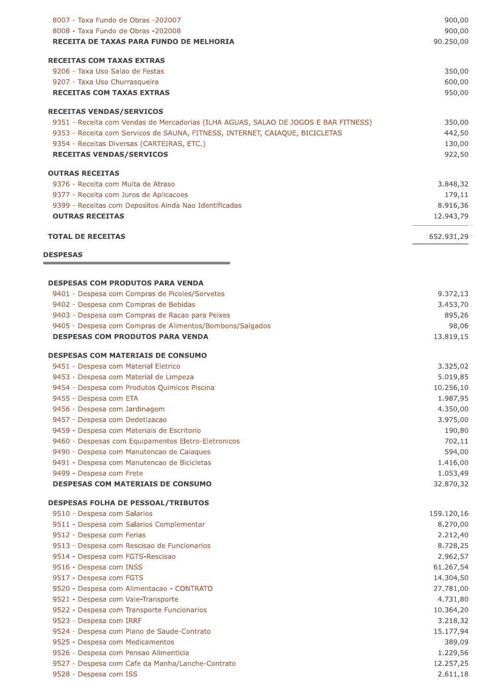| 8007 - Taxa Fundo de Obras -202007                                                  | 900,00     |
|-------------------------------------------------------------------------------------|------------|
| 8008 - Taxa Fundo de Obras -202008                                                  | 900,00     |
| RECEITA DE TAXAS PARA FUNDO DE MELHORIA                                             | 90.250,00  |
| <b>RECEITAS COM TAXAS EXTRAS</b>                                                    |            |
| 9206 - Taxa Uso Salao de Festas                                                     | 350,00     |
| 9207 - Taxa Uso Churrasqueira                                                       | 600,00     |
| <b>RECEITAS COM TAXAS EXTRAS</b>                                                    | 950,00     |
| <b>RECEITAS VENDAS/SERVICOS</b>                                                     |            |
| 9351 - Receita com Vendas de Mercadorias (ILHA AGUAS, SALAO DE JOGOS E BAR FITNESS) | 350,00     |
| 9353 - Receita com Servicos de SAUNA, FITNESS, INTERNET, CAIAQUE, BICICLETAS        | 442,50     |
| 9354 - Receitas Diversas (CARTEIRAS, ETC.)                                          | 130,00     |
| <b>RECEITAS VENDAS/SERVICOS</b>                                                     | 922,50     |
| <b>OUTRAS RECEITAS</b>                                                              |            |
| 9376 - Receita com Multa de Atraso                                                  | 3.848,32   |
| 9377 - Receita com Juros de Aplicacoes                                              | 179,11     |
| 9399 - Receitas com Depositos Ainda Nao Identificadas                               | 8.916,36   |
| <b>OUTRAS RECEITAS</b>                                                              | 12.943,79  |
| <b>TOTAL DE RECEITAS</b>                                                            | 652.931,29 |
|                                                                                     |            |
| <b>DESPESAS</b>                                                                     |            |
| <b>DESPESAS COM PRODUTOS PARA VENDA</b>                                             |            |
| 9401 - Despesa com Compras de Picoles/Sorvetes                                      | 9.372,13   |
| 9402 - Despesa com Compras de Bebidas                                               | 3.453,70   |
| 9403 - Despesa com Compras de Racao para Peixes                                     | 895,26     |
| 9405 - Despesa com Compras de Alimentos/Bombons/Salgados                            | 98,06      |
| <b>DESPESAS COM PRODUTOS PARA VENDA</b>                                             | 13.819,15  |
| <b>DESPESAS COM MATERIAIS DE CONSUMO</b>                                            |            |
| 9451 - Despesa com Material Eletrico                                                | 3.325,02   |
| 9453 - Despesa com Material de Limpeza                                              | 5.019,85   |
| 9454 - Despesa com Produtos Quimicos Piscina                                        | 10.256,10  |
| 9455 - Despesa com ETA                                                              | 1.987,95   |
| 9456 - Despesa com Jardinagem                                                       | 4.350,00   |
| 9457 - Despesa com Dedetizacao                                                      | 3.975,00   |
| 9459 - Despesa com Materiais de Escritorio                                          | 190,80     |
| 9460 - Despesas com Equipamentos Eletro-Eletronicos                                 | 702,11     |
| 9490 - Despesa com Manutencao de Caiaques                                           | 594,00     |
| 9491 - Despesa com Manutencao de Bicicletas                                         | 1.416,00   |
| 9499 - Despesa com Frete                                                            | 1.053,49   |
| <b>DESPESAS COM MATERIAIS DE CONSUMO</b>                                            | 32.870,32  |
| <b>DESPESAS FOLHA DE PESSOAL/TRIBUTOS</b>                                           |            |
| 9510 - Despesa com Salarios                                                         | 159.120,16 |
| 9511 - Despesa com Salarios Complementar                                            | 8.270,00   |
| 9512 - Despesa com Ferias                                                           | 2.212,40   |
| 9513 - Despesa com Rescisao de Funcionarios                                         | 8.728,25   |
| 9514 - Despesa com FGTS-Rescisao                                                    | 2.962,57   |
| 9516 - Despesa com INSS                                                             | 61.267,54  |
| 9517 - Despesa com FGTS                                                             | 14.304,50  |
| 9520 - Despesa com Alimentacao - CONTRATO                                           | 27.781,00  |
| 9521 - Despesa com Vale-Transporte                                                  | 4.731,80   |
| 9522 - Despesa com Transporte Funcionarios                                          | 10.364,20  |
| 9523 - Despesa com IRRF                                                             | 3.218,32   |
| 9524 - Despesa com Plano de Saude-Contrato                                          | 15.177,94  |
| 9525 - Despesa com Medicamentos                                                     | 389,09     |
| 9526 - Despesa com Pensao Alimenticia                                               | 1.229,56   |
| 9527 - Despesa com Cafe da Manha/Lanche-Contrato                                    | 12.257,25  |
| 9528 - Despesa com ISS                                                              | 2.611,18   |
|                                                                                     |            |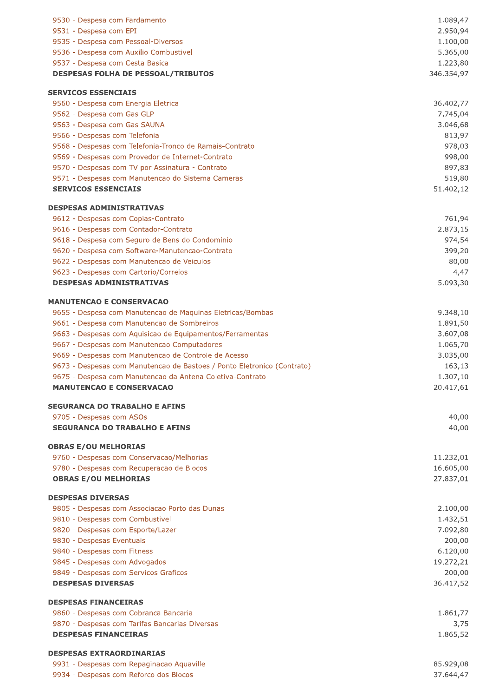| 9530 - Despesa com Fardamento                                                   | 1.089,47              |
|---------------------------------------------------------------------------------|-----------------------|
| 9531 - Despesa com EPI                                                          | 2.950,94              |
| 9535 - Despesa com Pessoal-Diversos                                             | 1.100,00              |
| 9536 - Despesa com Auxilio Combustivel                                          | 5.365,00              |
| 9537 - Despesa com Cesta Basica                                                 | 1.223,80              |
| <b>DESPESAS FOLHA DE PESSOAL/TRIBUTOS</b>                                       | 346.354,97            |
| <b>SERVICOS ESSENCIAIS</b>                                                      |                       |
| 9560 - Despesa com Energia Eletrica                                             | 36.402,77             |
| 9562 - Despesa com Gas GLP                                                      | 7.745,04              |
| 9563 - Despesa com Gas SAUNA                                                    | 3.046,68              |
| 9566 - Despesas com Telefonia                                                   | 813,97                |
| 9568 - Despesas com Telefonia-Tronco de Ramais-Contrato                         | 978,03                |
| 9569 - Despesas com Provedor de Internet-Contrato                               | 998,00                |
| 9570 - Despesas com TV por Assinatura - Contrato                                | 897,83<br>519,80      |
| 9571 - Despesas com Manutencao do Sistema Cameras<br><b>SERVICOS ESSENCIAIS</b> | 51.402,12             |
| <b>DESPESAS ADMINISTRATIVAS</b>                                                 |                       |
| 9612 - Despesas com Copias-Contrato                                             | 761,94                |
| 9616 - Despesas com Contador-Contrato                                           | 2.873,15              |
| 9618 - Despesa com Seguro de Bens do Condominio                                 | 974,54                |
| 9620 - Despesa com Software-Manutencao-Contrato                                 | 399,20                |
| 9622 - Despesas com Manutencao de Veiculos                                      | 80,00                 |
| 9623 - Despesas com Cartorio/Correios                                           | 4,47                  |
| <b>DESPESAS ADMINISTRATIVAS</b>                                                 | 5.093,30              |
| <b>MANUTENCAO E CONSERVACAO</b>                                                 |                       |
| 9655 - Despesa com Manutencao de Maquinas Eletricas/Bombas                      | 9.348,10              |
| 9661 - Despesa com Manutencao de Sombreiros                                     | 1.891,50              |
| 9663 - Despesas com Aquisicao de Equipamentos/Ferramentas                       | 3.607,08              |
| 9667 - Despesas com Manutencao Computadores                                     | 1.065,70              |
| 9669 - Despesas com Manutencao de Controle de Acesso                            | 3.035,00              |
| 9673 - Despesas com Manutencao de Bastoes / Ponto Eletronico (Contrato)         | 163,13                |
| 9675 - Despesa com Manutencao da Antena Coletiva-Contrato                       | 1.307,10              |
| <b>MANUTENCAO E CONSERVACAO</b>                                                 | 20.417,61             |
| <b>SEGURANCA DO TRABALHO E AFINS</b>                                            |                       |
| 9705 - Despesas com ASOs                                                        | 40,00                 |
| <b>SEGURANCA DO TRABALHO E AFINS</b>                                            | 40,00                 |
| <b>OBRAS E/OU MELHORIAS</b>                                                     |                       |
| 9760 - Despesas com Conservacao/Melhorias                                       | 11.232,01             |
| 9780 - Despesas com Recuperacao de Blocos                                       | 16.605,00             |
| <b>OBRAS E/OU MELHORIAS</b>                                                     | 27.837,01             |
| <b>DESPESAS DIVERSAS</b>                                                        |                       |
| 9805 - Despesas com Associacao Porto das Dunas                                  | 2.100,00              |
| 9810 - Despesas com Combustivel                                                 | 1.432,51              |
| 9820 - Despesas com Esporte/Lazer                                               | 7.092,80              |
| 9830 - Despesas Eventuais                                                       | 200,00                |
| 9840 - Despesas com Fitness<br>9845 - Despesas com Advogados                    | 6.120,00<br>19.272,21 |
| 9849 - Despesas com Servicos Graficos                                           | 200,00                |
| <b>DESPESAS DIVERSAS</b>                                                        | 36.417,52             |
| <b>DESPESAS FINANCEIRAS</b>                                                     |                       |
| 9860 - Despesas com Cobranca Bancaria                                           | 1.861,77              |
| 9870 - Despesas com Tarifas Bancarias Diversas                                  | 3,75                  |
| <b>DESPESAS FINANCEIRAS</b>                                                     | 1.865,52              |
| <b>DESPESAS EXTRAORDINARIAS</b>                                                 |                       |
| 9931 - Despesas com Repaginacao Aquaville                                       | 85.929,08             |
| 9934 - Despesas com Reforco dos Blocos                                          | 37.644,47             |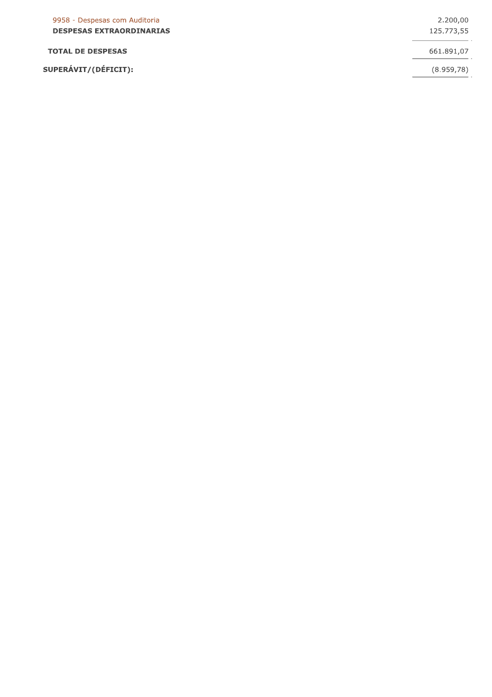| 9958 - Despesas com Auditoria<br><b>DESPESAS EXTRAORDINARIAS</b> | 2.200,00<br>125.773,55 |
|------------------------------------------------------------------|------------------------|
| <b>TOTAL DE DESPESAS</b>                                         | 661.891,07             |
| SUPERÁVIT/(DÉFICIT):                                             | (8.959,78)             |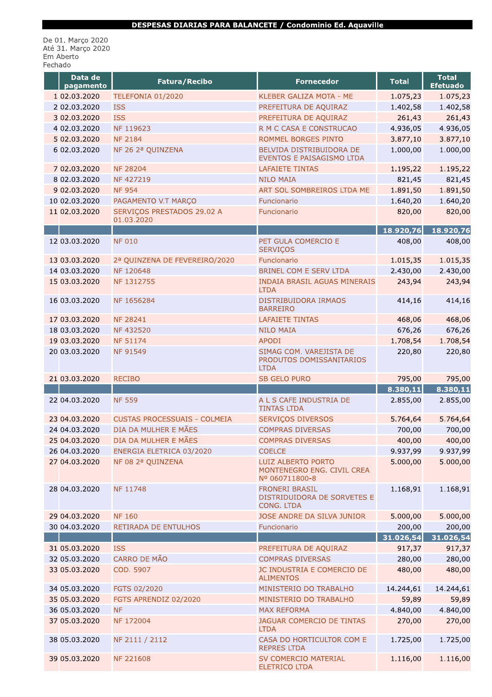De 01. Março 2020<br>Até 31. Março 2020<br>Em Aberto Fechado

| Data de<br>pagamento | Fatura/Recibo                            | <b>Fornecedor</b>                                                  | <b>Total</b> | <b>Total</b><br><b>Efetuado</b> |
|----------------------|------------------------------------------|--------------------------------------------------------------------|--------------|---------------------------------|
| 1 02.03.2020         | TELEFONIA 01/2020                        | KLEBER GALIZA MOTA - ME                                            | 1.075,23     | 1.075,23                        |
| 2 02.03.2020         | <b>ISS</b>                               | PREFEITURA DE AQUIRAZ                                              | 1.402,58     | 1.402,58                        |
| 3 02.03.2020         | <b>ISS</b>                               | PREFEITURA DE AQUIRAZ                                              | 261,43       | 261,43                          |
| 4 02.03.2020         | NF 119623                                | R M C CASA E CONSTRUCAO                                            | 4.936,05     | 4.936,05                        |
| 5 02.03.2020         | <b>NF 2184</b>                           | ROMMEL BORGES PINTO                                                | 3.877,10     | 3.877,10                        |
| 6 02.03.2020         | NF 26 2ª QUINZENA                        | BELVIDA DISTRIBUIDORA DE<br>EVENTOS E PAISAGISMO LTDA              | 1.000,00     | 1.000,00                        |
| 7 02.03.2020         | <b>NF 28204</b>                          | <b>LAFAIETE TINTAS</b>                                             | 1.195,22     | 1.195,22                        |
| 8 02.03.2020         | NF 427219                                | <b>NILO MAIA</b>                                                   | 821,45       | 821,45                          |
| 9 02.03.2020         | <b>NF 954</b>                            | ART SOL SOMBREIROS LTDA ME                                         | 1.891,50     | 1.891,50                        |
| 10 02.03.2020        | PAGAMENTO V.T MARÇO                      | Funcionario                                                        | 1.640,20     | 1.640,20                        |
| 11 02.03.2020        | SERVIÇOS PRESTADOS 29.02 A<br>01.03.2020 | Funcionario                                                        | 820,00       | 820,00                          |
|                      |                                          |                                                                    | 18.920,76    | 18.920,76                       |
| 12 03.03.2020        | <b>NF 010</b>                            | PET GULA COMERCIO E<br><b>SERVIÇOS</b>                             | 408,00       | 408,00                          |
| 13 03.03.2020        | 2ª QUINZENA DE FEVEREIRO/2020            | Funcionario                                                        | 1.015,35     | 1.015,35                        |
| 14 03.03.2020        | NF 120648                                | <b>BRINEL COM E SERV LTDA</b>                                      | 2.430,00     | 2.430,00                        |
| 15 03.03.2020        | NF 1312755                               | <b>INDAIA BRASIL AGUAS MINERAIS</b><br><b>LTDA</b>                 | 243,94       | 243,94                          |
| 16 03.03.2020        | NF 1656284                               | DISTRIBUIDORA IRMAOS<br><b>BARREIRO</b>                            | 414,16       | 414,16                          |
| 17 03.03.2020        | <b>NF 28241</b>                          | <b>LAFAIETE TINTAS</b>                                             | 468,06       | 468,06                          |
| 18 03.03.2020        | NF 432520                                | <b>NILO MAIA</b>                                                   | 676,26       | 676,26                          |
| 19 03.03.2020        | <b>NF 51174</b>                          | <b>APODI</b>                                                       | 1.708,54     | 1.708,54                        |
| 20 03.03.2020        | <b>NF 91549</b>                          | SIMAG COM. VAREJISTA DE<br>PRODUTOS DOMISSANITARIOS<br><b>LTDA</b> | 220,80       | 220,80                          |
| 21 03.03.2020        | <b>RECIBO</b>                            | <b>SB GELO PURO</b>                                                | 795,00       | 795,00                          |
|                      |                                          |                                                                    | 8.380,11     |                                 |
|                      |                                          |                                                                    |              |                                 |
| 22 04.03.2020        | <b>NF 559</b>                            | A L S CAFE INDUSTRIA DE<br><b>TINTAS LTDA</b>                      | 2.855,00     | 8.380,11<br>2.855,00            |
| 23 04.03.2020        | <b>CUSTAS PROCESSUAIS - COLMEIA</b>      | SERVIÇOS DIVERSOS                                                  | 5.764,64     | 5.764,64                        |
| 24 04.03.2020        | DIA DA MULHER E MÃES                     | <b>COMPRAS DIVERSAS</b>                                            | 700,00       |                                 |
| 25 04.03.2020        | DIA DA MULHER E MÃES                     | <b>COMPRAS DIVERSAS</b>                                            | 400,00       | 700,00<br>400,00                |
| 26 04.03.2020        | ENERGIA ELETRICA 03/2020                 | <b>COELCE</b>                                                      | 9.937,99     |                                 |
| 27 04.03.2020        | NF 08 2ª QUINZENA                        | LUIZ ALBERTO PORTO<br>MONTENEGRO ENG. CIVIL CREA<br>Nº 060711800-8 | 5.000,00     | 9.937,99<br>5.000,00            |
| 28 04.03.2020        | NF 11748                                 | <b>FRONERI BRASIL</b><br>DISTRIDUIDORA DE SORVETES E<br>CONG, LTDA | 1.168,91     | 1.168,91                        |
| 29 04.03.2020        | <b>NF 160</b>                            | JOSE ANDRE DA SILVA JUNIOR                                         | 5.000,00     |                                 |
| 30 04.03.2020        | RETIRADA DE ENTULHOS                     | Funcionario                                                        | 200,00       |                                 |
|                      |                                          |                                                                    | 31.026,54    | 5.000,00<br>200,00<br>31.026,54 |
| 31 05.03.2020        | <b>ISS</b>                               | PREFEITURA DE AQUIRAZ                                              | 917,37       | 917,37                          |
| 32 05.03.2020        | <b>CARRO DE MÃO</b>                      | <b>COMPRAS DIVERSAS</b>                                            | 280,00       | 280,00                          |
| 33 05.03.2020        | COD. 5907                                | JC INDUSTRIA E COMERCIO DE<br><b>ALIMENTOS</b>                     | 480,00       | 480,00                          |
| 34 05.03.2020        | FGTS 02/2020                             | MINISTERIO DO TRABALHO                                             | 14.244,61    | 14.244,61                       |
| 35 05.03.2020        | FGTS APRENDIZ 02/2020                    | MINISTERIO DO TRABALHO                                             | 59,89        | 59,89                           |
| 36 05.03.2020        | <b>NF</b>                                | <b>MAX REFORMA</b>                                                 | 4.840,00     | 4.840,00                        |
| 37 05.03.2020        | NF 172004                                | JAGUAR COMERCIO DE TINTAS<br><b>LTDA</b>                           | 270,00       | 270,00                          |
| 38 05.03.2020        | NF 2111 / 2112                           | CASA DO HORTICULTOR COM E<br><b>REPRES LTDA</b>                    | 1.725,00     | 1.725,00                        |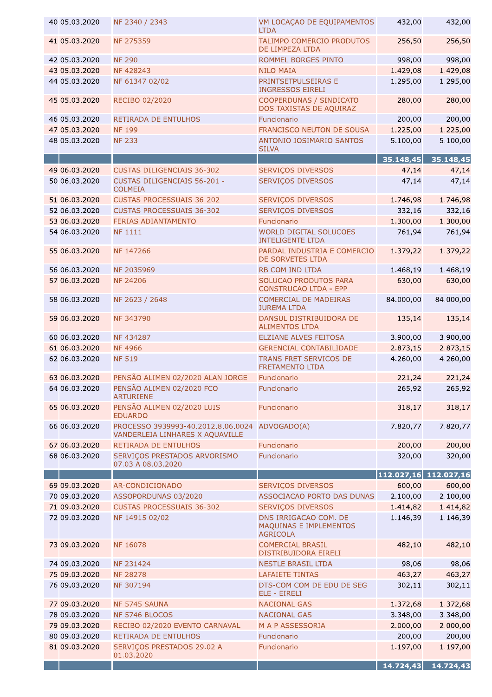| 40 05.03.2020 | NF 2340 / 2343                                                        | VM LOCAÇAO DE EQUIPAMENTOS<br><b>LTDA</b>                          | 432,00                | 432,00    |
|---------------|-----------------------------------------------------------------------|--------------------------------------------------------------------|-----------------------|-----------|
| 41 05.03.2020 | NF 275359                                                             | TALIMPO COMERCIO PRODUTOS<br>DE LIMPEZA LTDA                       | 256,50                | 256,50    |
| 42 05.03.2020 | <b>NF 290</b>                                                         | ROMMEL BORGES PINTO                                                | 998,00                | 998,00    |
| 43 05.03.2020 | NF 428243                                                             | <b>NILO MAIA</b>                                                   | 1.429,08              | 1.429,08  |
| 44 05.03.2020 | NF 61347 02/02                                                        | PRINTSETPULSEIRAS E<br><b>INGRESSOS EIRELI</b>                     | 1.295,00              | 1.295,00  |
| 45 05.03.2020 | RECIBO 02/2020                                                        | COOPERDUNAS / SINDICATO<br>DOS TAXISTAS DE AQUIRAZ                 | 280,00                | 280,00    |
| 46 05.03.2020 | <b>RETIRADA DE ENTULHOS</b>                                           | Funcionario                                                        | 200,00                | 200,00    |
| 47 05.03.2020 | <b>NF 199</b>                                                         | FRANCISCO NEUTON DE SOUSA                                          | 1.225,00              | 1.225,00  |
| 48 05.03.2020 | <b>NF 233</b>                                                         | ANTONIO JOSIMARIO SANTOS<br><b>SILVA</b>                           | 5.100,00              | 5.100,00  |
|               |                                                                       |                                                                    | 35.148,45             | 35.148,45 |
| 49 06.03.2020 | <b>CUSTAS DILIGENCIAIS 36-302</b>                                     | SERVIÇOS DIVERSOS                                                  | 47,14                 | 47,14     |
| 50 06.03.2020 | <b>CUSTAS DILIGENCIAIS 56-201 -</b><br><b>COLMEIA</b>                 | <b>SERVIÇOS DIVERSOS</b>                                           | 47,14                 | 47,14     |
| 51 06.03.2020 | <b>CUSTAS PROCESSUAIS 36-202</b>                                      | SERVIÇOS DIVERSOS                                                  | 1.746,98              | 1.746,98  |
| 52 06.03.2020 | <b>CUSTAS PROCESSUAIS 36-302</b>                                      | <b>SERVIÇOS DIVERSOS</b>                                           | 332,16                | 332,16    |
| 53 06.03.2020 | FERIAS ADIANTAMENTO                                                   | Funcionario                                                        | 1.300,00              | 1.300,00  |
| 54 06.03.2020 | <b>NF 1111</b>                                                        | <b>WORLD DIGITAL SOLUCOES</b>                                      | 761,94                | 761,94    |
|               |                                                                       | <b>INTELIGENTE LTDA</b>                                            |                       |           |
| 55 06.03.2020 | NF 147266                                                             | PARDAL INDUSTRIA E COMERCIO<br>DE SORVETES LTDA                    | 1.379,22              | 1.379,22  |
| 56 06.03.2020 | NF 2035969                                                            | RB COM IND LTDA                                                    | 1.468,19              | 1.468,19  |
| 57 06.03.2020 | <b>NF 24206</b>                                                       | SOLUCAO PRODUTOS PARA<br><b>CONSTRUCAO LTDA - EPP</b>              | 630,00                | 630,00    |
| 58 06.03.2020 | NF 2623 / 2648                                                        | <b>COMERCIAL DE MADEIRAS</b><br><b>JUREMA LTDA</b>                 | 84.000,00             | 84.000,00 |
| 59 06.03.2020 | NF 343790                                                             | DANSUL DISTRIBUIDORA DE<br><b>ALIMENTOS LTDA</b>                   | 135,14                | 135,14    |
| 60 06.03.2020 | NF 434287                                                             | ELZIANE ALVES FEITOSA                                              | 3.900,00              | 3.900,00  |
| 61 06.03.2020 | <b>NF4966</b>                                                         | <b>GERENCIAL CONTABILIDADE</b>                                     | 2.873,15              | 2.873,15  |
| 62 06.03.2020 | <b>NF 519</b>                                                         | TRANS FRET SERVICOS DE<br><b>FRETAMENTO LTDA</b>                   | 4.260,00              | 4.260,00  |
| 63 06.03.2020 | PENSÃO ALIMEN 02/2020 ALAN JORGE                                      | Funcionario                                                        | 221,24                | 221,24    |
| 64 06.03.2020 | PENSÃO ALIMEN 02/2020 FCO<br><b>ARTURIENE</b>                         | Funcionario                                                        | 265,92                | 265,92    |
| 65 06.03.2020 | PENSÃO ALIMEN 02/2020 LUIS<br><b>EDUARDO</b>                          | Funcionario                                                        | 318,17                | 318,17    |
| 66 06.03.2020 | PROCESSO 3939993-40.2012.8.06.0024<br>VANDERLEIA LINHARES X AQUAVILLE | ADVOGADO(A)                                                        | 7.820,77              | 7.820,77  |
| 67 06.03.2020 | RETIRADA DE ENTULHOS                                                  | Funcionario                                                        | 200,00                | 200,00    |
| 68 06.03.2020 | SERVIÇOS PRESTADOS ARVORISMO<br>07.03 A 08.03.2020                    | Funcionario                                                        | 320,00                | 320,00    |
|               |                                                                       |                                                                    | 112.027,16 112.027,16 |           |
| 69 09.03.2020 | AR-CONDICIONADO                                                       | <b>SERVIÇOS DIVERSOS</b>                                           | 600,00                | 600,00    |
| 70 09.03.2020 | ASSOPORDUNAS 03/2020                                                  | ASSOCIACAO PORTO DAS DUNAS                                         | 2.100,00              | 2.100,00  |
| 71 09.03.2020 | <b>CUSTAS PROCESSUAIS 36-302</b>                                      | SERVIÇOS DIVERSOS                                                  | 1.414,82              | 1.414,82  |
| 72 09.03.2020 | NF 14915 02/02                                                        | DNS IRRIGACAO COM. DE<br>MAQUINAS E IMPLEMENTOS<br><b>AGRICOLA</b> | 1.146,39              | 1.146,39  |
| 73 09.03.2020 | NF 16078                                                              | <b>COMERCIAL BRASIL</b><br>DISTRIBUIDORA EIRELI                    | 482,10                | 482,10    |
| 74 09.03.2020 | NF 231424                                                             | <b>NESTLE BRASIL LTDA</b>                                          | 98,06                 | 98,06     |
| 75 09.03.2020 | <b>NF 28278</b>                                                       | <b>LAFAIETE TINTAS</b>                                             | 463,27                | 463,27    |
| 76 09.03.2020 | NF 307194                                                             | DTS-COM COM DE EDU DE SEG<br>ELE - EIRELI                          | 302,11                | 302,11    |
| 77 09.03.2020 | NF 5745 SAUNA                                                         | <b>NACIONAL GAS</b>                                                | 1.372,68              | 1.372,68  |
| 78 09.03.2020 | NF 5746 BLOCOS                                                        | <b>NACIONAL GAS</b>                                                | 3.348,00              | 3.348,00  |
| 79 09.03.2020 | RECIBO 02/2020 EVENTO CARNAVAL                                        | M A P ASSESSORIA                                                   | 2.000,00              | 2.000,00  |
| 80 09.03.2020 | RETIRADA DE ENTULHOS                                                  | Funcionario                                                        | 200,00                | 200,00    |
| 81 09.03.2020 | SERVIÇOS PRESTADOS 29.02 A                                            | Funcionario                                                        | 1.197,00              | 1.197,00  |
|               | 01.03.2020                                                            |                                                                    | 14.724,43             | 14.724,43 |
|               |                                                                       |                                                                    |                       |           |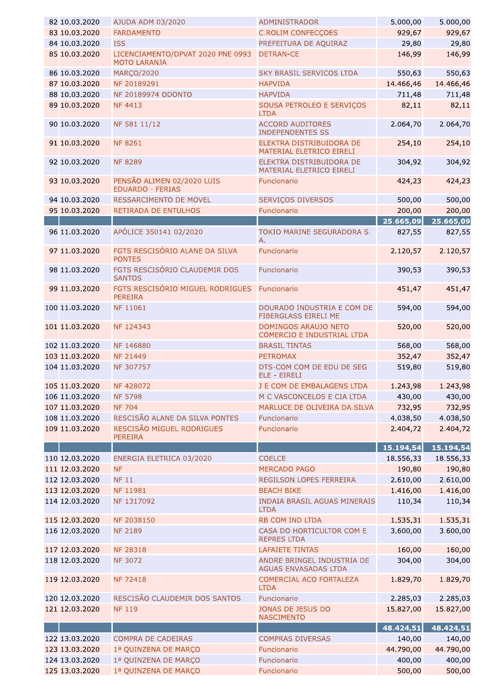| 82 10.03.2020  | AJUDA ADM 03/2020                                        | <b>ADMINISTRADOR</b>                                 | 5.000,00  | 5.000,00  |
|----------------|----------------------------------------------------------|------------------------------------------------------|-----------|-----------|
| 83 10.03.2020  | <b>FARDAMENTO</b>                                        | <b>C.ROLIM CONFECÇOES</b>                            | 929,67    | 929,67    |
| 84 10.03.2020  | <b>ISS</b>                                               | PREFEITURA DE AQUIRAZ                                | 29,80     | 29,80     |
| 85 10.03.2020  | LICENCIAMENTO/DPVAT 2020 PNE 0993<br><b>MOTO LARANJA</b> | <b>DETRAN-CE</b>                                     | 146,99    | 146,99    |
| 86 10.03.2020  | <b>MARÇO/2020</b>                                        | SKY BRASIL SERVICOS LTDA                             | 550,63    | 550,63    |
| 87 10.03.2020  | NF 20189291                                              | <b>HAPVIDA</b>                                       | 14.466,46 | 14.466,46 |
| 88 10.03.2020  | NF 20189974 ODONTO                                       | <b>HAPVIDA</b>                                       | 711,48    | 711,48    |
| 89 10.03.2020  | <b>NF 4413</b>                                           | SOUSA PETROLEO E SERVIÇOS<br><b>LTDA</b>             | 82,11     | 82,11     |
| 90 10.03.2020  | NF 581 11/12                                             | <b>ACCORD AUDITORES</b><br><b>INDEPENDENTES SS</b>   | 2.064,70  | 2.064,70  |
| 91 10.03.2020  | <b>NF 8261</b>                                           | ELEKTRA DISTRIBUIDORA DE<br>MATERIAL ELETRICO EIRELI | 254,10    | 254,10    |
| 92 10.03.2020  | <b>NF 8289</b>                                           | ELEKTRA DISTRIBUIDORA DE<br>MATERIAL ELETRICO EIRELI | 304,92    | 304,92    |
| 93 10.03.2020  | PENSÃO ALIMEN 02/2020 LUIS<br><b>EDUARDO - FERIAS</b>    | Funcionario                                          | 424,23    | 424,23    |
| 94 10.03.2020  | RESSARCIMENTO DE MOVEL                                   | <b>SERVIÇOS DIVERSOS</b>                             | 500,00    | 500,00    |
| 95 10.03.2020  | RETIRADA DE ENTULHOS                                     | Funcionario                                          | 200,00    | 200,00    |
|                |                                                          |                                                      | 25.665,09 | 25.665,09 |
| 96 11.03.2020  | APÓLICE 350141 02/2020                                   | TOKIO MARINE SEGURADORA S.<br>Α.                     | 827,55    | 827,55    |
| 97 11.03.2020  | FGTS RESCISÓRIO ALANE DA SILVA<br><b>PONTES</b>          | Funcionario                                          | 2.120,57  | 2.120,57  |
| 98 11.03.2020  | FGTS RESCISÓRIO CLAUDEMIR DOS<br><b>SANTOS</b>           | Funcionario                                          | 390,53    | 390,53    |
| 99 11.03.2020  | FGTS RESCISÓRIO MIGUEL RODRIGUES<br><b>PEREIRA</b>       | Funcionario                                          | 451,47    | 451,47    |
| 100 11.03.2020 | NF 11061                                                 | DOURADO INDUSTRIA E COM DE<br>FIBERGLASS EIRELI ME   | 594,00    | 594,00    |
| 101 11.03.2020 | NF 124343                                                | DOMINGOS ARAUJO NETO<br>COMERCIO E INDUSTRIAL LTDA   | 520,00    | 520,00    |
| 102 11.03.2020 | NF 146880                                                | <b>BRASIL TINTAS</b>                                 | 568,00    | 568,00    |
| 103 11.03.2020 | <b>NF 21449</b>                                          | <b>PETROMAX</b>                                      | 352,47    | 352,47    |
| 104 11.03.2020 | NF 307757                                                | DTS-COM COM DE EDU DE SEG<br>ELE - EIRELI            | 519,80    | 519,80    |
| 105 11.03.2020 | NF 428072                                                | J E COM DE EMBALAGENS LTDA                           | 1.243,98  | 1.243,98  |
| 106 11.03.2020 | <b>NF 5798</b>                                           | M C VASCONCELOS E CIA LTDA                           | 430,00    | 430,00    |
| 107 11.03.2020 | <b>NF 704</b>                                            | MARLUCE DE OLIVEIRA DA SILVA                         | 732,95    | 732,95    |
| 108 11.03.2020 | RESCISÃO ALANE DA SILVA PONTES                           | Funcionario                                          | 4.038,50  | 4.038,50  |
| 109 11.03.2020 | RESCISÃO MIGUEL RODRIGUES<br><b>PEREIRA</b>              | Funcionario                                          | 2.404,72  | 2.404,72  |
|                |                                                          |                                                      | 15.194,54 | 15.194,54 |
| 110 12.03.2020 | ENERGIA ELETRICA 03/2020                                 | <b>COELCE</b>                                        | 18.556,33 | 18.556,33 |
| 111 12.03.2020 | <b>NF</b>                                                | <b>MERCADO PAGO</b>                                  | 190,80    | 190,80    |
| 112 12.03.2020 | <b>NF 11</b>                                             | REGILSON LOPES FERREIRA                              | 2.610,00  | 2.610,00  |
| 113 12.03.2020 | NF 11981                                                 | <b>BEACH BIKE</b>                                    | 1.416,00  | 1.416,00  |
| 114 12.03.2020 | NF 1317092                                               | <b>INDAIA BRASIL AGUAS MINERAIS</b><br><b>LTDA</b>   | 110,34    | 110,34    |
| 115 12.03.2020 | NF 2038150                                               | RB COM IND LTDA                                      | 1.535,31  | 1.535,31  |
| 116 12.03.2020 | <b>NF 2189</b>                                           | CASA DO HORTICULTOR COM E<br><b>REPRES LTDA</b>      | 3.600,00  | 3.600,00  |
| 117 12.03.2020 | <b>NF 28318</b>                                          | <b>LAFAIETE TINTAS</b>                               | 160,00    | 160,00    |
| 118 12.03.2020 | <b>NF 3072</b>                                           | ANDRE BRINGEL INDUSTRIA DE                           | 304,00    | 304,00    |
|                |                                                          | <b>AGUAS ENVASADAS LTDA</b>                          |           |           |
| 119 12.03.2020 | <b>NF 72418</b>                                          | COMERCIAL ACO FORTALEZA<br><b>LTDA</b>               | 1.829,70  | 1.829,70  |
| 120 12.03.2020 | RESCISÃO CLAUDEMIR DOS SANTOS                            | Funcionario                                          | 2.285,03  | 2.285,03  |
| 121 12.03.2020 | <b>NF 119</b>                                            | JONAS DE JESUS DO<br><b>NASCIMENTO</b>               | 15.827,00 | 15.827,00 |
|                |                                                          |                                                      | 48.424,51 | 48.424,51 |
| 122 13.03.2020 | <b>COMPRA DE CADEIRAS</b>                                | <b>COMPRAS DIVERSAS</b>                              | 140,00    | 140,00    |
| 123 13.03.2020 | 1ª QUINZENA DE MARÇO                                     | Funcionario                                          | 44.790,00 | 44.790,00 |
| 124 13.03.2020 | 1ª QUINZENA DE MARÇO                                     | Funcionario                                          | 400,00    | 400,00    |
| 125 13.03.2020 | 1ª QUINZENA DE MARÇO                                     | Funcionario                                          | 500,00    | 500,00    |
|                |                                                          |                                                      |           |           |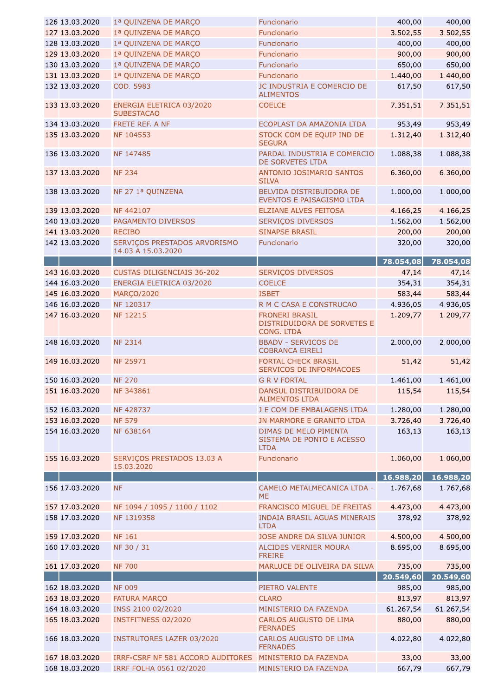| 126 13.03.2020 | 1ª QUINZENA DE MARÇO                               | Funcionario                                                        | 400,00    | 400,00    |
|----------------|----------------------------------------------------|--------------------------------------------------------------------|-----------|-----------|
| 127 13.03.2020 | 1ª QUINZENA DE MARÇO                               | Funcionario                                                        | 3.502,55  | 3.502,55  |
| 128 13.03.2020 | 1ª QUINZENA DE MARÇO                               | Funcionario                                                        | 400,00    | 400,00    |
| 129 13.03.2020 | 1ª QUINZENA DE MARÇO                               | Funcionario                                                        | 900,00    | 900,00    |
| 130 13.03.2020 | 1ª QUINZENA DE MARÇO                               | Funcionario                                                        | 650,00    | 650,00    |
| 131 13.03.2020 | 1ª QUINZENA DE MARÇO                               | Funcionario                                                        | 1.440,00  | 1.440,00  |
| 132 13.03.2020 | COD. 5983                                          | JC INDUSTRIA E COMERCIO DE<br><b>ALIMENTOS</b>                     | 617,50    | 617,50    |
| 133 13.03.2020 | ENERGIA ELETRICA 03/2020<br><b>SUBESTACAO</b>      | <b>COELCE</b>                                                      | 7.351,51  | 7.351,51  |
| 134 13.03.2020 | FRETE REF. A NF                                    | ECOPLAST DA AMAZONIA LTDA                                          | 953,49    | 953,49    |
| 135 13.03.2020 | NF 104553                                          | STOCK COM DE EQUIP IND DE<br><b>SEGURA</b>                         | 1.312,40  | 1.312,40  |
| 136 13.03.2020 | NF 147485                                          | PARDAL INDUSTRIA E COMERCIO<br>DE SORVETES LTDA                    | 1.088,38  | 1.088,38  |
| 137 13.03.2020 | <b>NF 234</b>                                      | ANTONIO JOSIMARIO SANTOS<br><b>SILVA</b>                           | 6.360,00  | 6.360,00  |
| 138 13.03.2020 | NF 27 1ª QUINZENA                                  | BELVIDA DISTRIBUIDORA DE<br>EVENTOS E PAISAGISMO LTDA              | 1.000,00  | 1.000,00  |
| 139 13.03.2020 | NF 442107                                          | ELZIANE ALVES FEITOSA                                              | 4.166,25  | 4.166,25  |
| 140 13.03.2020 | PAGAMENTO DIVERSOS                                 | SERVIÇOS DIVERSOS                                                  | 1.562,00  | 1.562,00  |
| 141 13.03.2020 | <b>RECIBO</b>                                      | <b>SINAPSE BRASIL</b>                                              | 200,00    | 200,00    |
| 142 13.03.2020 | SERVIÇOS PRESTADOS ARVORISMO<br>14.03 A 15.03.2020 | Funcionario                                                        | 320,00    | 320,00    |
|                |                                                    |                                                                    | 78.054,08 | 78.054,08 |
| 143 16.03.2020 | <b>CUSTAS DILIGENCIAIS 36-202</b>                  | <b>SERVIÇOS DIVERSOS</b>                                           | 47,14     | 47,14     |
| 144 16.03.2020 | ENERGIA ELETRICA 03/2020                           | <b>COELCE</b>                                                      | 354,31    | 354,31    |
| 145 16.03.2020 | <b>MARÇO/2020</b>                                  | <b>ISBET</b>                                                       | 583,44    | 583,44    |
| 146 16.03.2020 | NF 120317                                          | R M C CASA E CONSTRUCAO                                            | 4.936,05  | 4.936,05  |
| 147 16.03.2020 | <b>NF 12215</b>                                    | <b>FRONERI BRASIL</b><br>DISTRIDUIDORA DE SORVETES E<br>CONG. LTDA | 1.209,77  | 1.209,77  |
| 148 16.03.2020 | <b>NF 2314</b>                                     | <b>BBADV - SERVICOS DE</b><br><b>COBRANCA EIRELI</b>               | 2.000,00  | 2.000,00  |
| 149 16.03.2020 | NF 25971                                           | <b>FORTAL CHECK BRASIL</b><br>SERVICOS DE INFORMACOES              | 51,42     | 51,42     |
| 150 16.03.2020 | <b>NF 270</b>                                      | <b>G R V FORTAL</b>                                                | 1.461,00  | 1.461,00  |
| 151 16.03.2020 | NF 343861                                          | DANSUL DISTRIBUIDORA DE<br><b>ALIMENTOS LTDA</b>                   | 115,54    | 115,54    |
| 152 16.03.2020 | NF 428737                                          | J E COM DE EMBALAGENS LTDA                                         | 1.280,00  | 1.280,00  |
| 153 16.03.2020 | <b>NF 579</b>                                      | JN MARMORE E GRANITO LTDA                                          | 3.726,40  | 3.726,40  |
| 154 16.03.2020 | NF 638164                                          | DIMAS DE MELO PIMENTA<br>SISTEMA DE PONTO E ACESSO<br><b>LTDA</b>  | 163,13    | 163,13    |
| 155 16.03.2020 | SERVIÇOS PRESTADOS 13.03 A<br>15.03.2020           | Funcionario                                                        | 1.060,00  | 1.060,00  |
|                |                                                    |                                                                    | 16.988,20 | 16.988,20 |
| 156 17.03.2020 | <b>NF</b>                                          | CAMELO METALMECANICA LTDA -<br><b>ME</b>                           | 1.767,68  | 1.767,68  |
| 157 17.03.2020 | NF 1094 / 1095 / 1100 / 1102                       | FRANCISCO MIGUEL DE FREITAS                                        | 4.473,00  | 4.473,00  |
| 158 17.03.2020 | NF 1319358                                         | <b>INDAIA BRASIL AGUAS MINERAIS</b><br><b>LTDA</b>                 | 378,92    | 378,92    |
| 159 17.03.2020 | <b>NF 161</b>                                      | JOSE ANDRE DA SILVA JUNIOR                                         | 4.500,00  | 4.500,00  |
| 160 17.03.2020 | NF 30 / 31                                         | ALCIDES VERNIER MOURA<br><b>FREIRE</b>                             | 8.695,00  | 8.695,00  |
| 161 17.03.2020 | <b>NF 700</b>                                      | MARLUCE DE OLIVEIRA DA SILVA                                       | 735,00    | 735,00    |
|                |                                                    |                                                                    | 20.549,60 | 20.549,60 |
| 162 18.03.2020 | <b>NF 009</b>                                      | PIETRO VALENTE                                                     | 985,00    | 985,00    |
| 163 18.03.2020 | <b>FATURA MARÇO</b>                                | <b>CLARO</b>                                                       | 813,97    | 813,97    |
| 164 18.03.2020 | INSS 2100 02/2020                                  | MINISTERIO DA FAZENDA                                              | 61.267,54 | 61.267,54 |
| 165 18.03.2020 | INSTFITNESS 02/2020                                | CARLOS AUGUSTO DE LIMA<br><b>FERNADES</b>                          | 880,00    | 880,00    |
| 166 18.03.2020 | <b>INSTRUTORES LAZER 03/2020</b>                   | <b>CARLOS AUGUSTO DE LIMA</b><br><b>FERNADES</b>                   | 4.022,80  | 4.022,80  |
| 167 18.03.2020 | IRRF-CSRF NF 581 ACCORD AUDITORES                  | MINISTERIO DA FAZENDA                                              | 33,00     | 33,00     |
| 168 18.03.2020 | IRRF FOLHA 0561 02/2020                            | MINISTERIO DA FAZENDA                                              | 667,79    | 667,79    |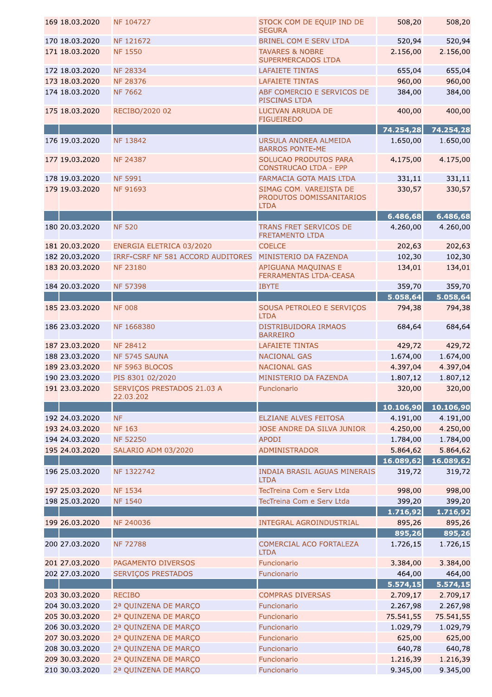| 169 18.03.2020 | NF 104727                               | STOCK COM DE EQUIP IND DE<br><b>SEGURA</b>                         | 508,20    | 508,20    |
|----------------|-----------------------------------------|--------------------------------------------------------------------|-----------|-----------|
| 170 18.03.2020 | NF 121672                               | <b>BRINEL COM E SERV LTDA</b>                                      | 520,94    | 520,94    |
| 171 18.03.2020 | <b>NF 1550</b>                          | <b>TAVARES &amp; NOBRE</b><br><b>SUPERMERCADOS LTDA</b>            | 2.156,00  | 2.156,00  |
| 172 18.03.2020 | <b>NF 28334</b>                         | <b>LAFAIETE TINTAS</b>                                             | 655,04    | 655,04    |
| 173 18.03.2020 | <b>NF 28376</b>                         | <b>LAFAIETE TINTAS</b>                                             | 960,00    | 960,00    |
| 174 18.03.2020 | <b>NF 7662</b>                          | ABF COMERCIO E SERVICOS DE<br>PISCINAS LTDA                        | 384,00    | 384,00    |
| 175 18.03.2020 | RECIBO/2020 02                          | LUCIVAN ARRUDA DE<br><b>FIGUEIREDO</b>                             | 400,00    | 400,00    |
|                |                                         |                                                                    | 74.254,28 | 74.254,28 |
| 176 19.03.2020 | <b>NF 13842</b>                         | URSULA ANDREA ALMEIDA<br><b>BARROS PONTE-ME</b>                    | 1.650,00  | 1.650,00  |
| 177 19.03.2020 | <b>NF 24387</b>                         | SOLUCAO PRODUTOS PARA<br><b>CONSTRUCAO LTDA - EPP</b>              | 4.175,00  | 4.175,00  |
| 178 19.03.2020 | <b>NF 5991</b>                          | FARMACIA GOTA MAIS LTDA                                            | 331,11    | 331,11    |
| 179 19.03.2020 | <b>NF 91693</b>                         | SIMAG COM. VAREJISTA DE<br>PRODUTOS DOMISSANITARIOS<br><b>LTDA</b> | 330,57    | 330,57    |
|                |                                         |                                                                    | 6.486,68  | 6.486,68  |
| 180 20.03.2020 | <b>NF 520</b>                           | TRANS FRET SERVICOS DE<br>FRETAMENTO LTDA                          | 4.260,00  | 4.260,00  |
| 181 20.03.2020 | ENERGIA ELETRICA 03/2020                | <b>COELCE</b>                                                      | 202,63    | 202,63    |
| 182 20.03.2020 | IRRF-CSRF NF 581 ACCORD AUDITORES       | MINISTERIO DA FAZENDA                                              | 102,30    | 102,30    |
| 183 20.03.2020 | <b>NF 23180</b>                         | APIGUANA MAQUINAS E<br>FERRAMENTAS LTDA-CEASA                      | 134,01    | 134,01    |
| 184 20.03.2020 | <b>NF 57398</b>                         | <b>IBYTE</b>                                                       | 359,70    | 359,70    |
|                |                                         |                                                                    | 5.058,64  | 5.058,64  |
| 185 23.03.2020 | <b>NF 008</b>                           | SOUSA PETROLEO E SERVIÇOS<br><b>LTDA</b>                           | 794,38    | 794,38    |
| 186 23.03.2020 | NF 1668380                              | DISTRIBUIDORA IRMAOS<br><b>BARREIRO</b>                            | 684,64    | 684,64    |
| 187 23.03.2020 | <b>NF 28412</b>                         | <b>LAFAIETE TINTAS</b>                                             | 429,72    | 429,72    |
| 188 23.03.2020 | NF 5745 SAUNA                           | <b>NACIONAL GAS</b>                                                | 1.674,00  | 1.674,00  |
| 189 23.03.2020 | NF 5963 BLOCOS                          | <b>NACIONAL GAS</b>                                                | 4.397,04  | 4.397,04  |
| 190 23.03.2020 | PIS 8301 02/2020                        | MINISTERIO DA FAZENDA                                              | 1.807,12  | 1.807,12  |
| 191 23.03.2020 | SERVIÇOS PRESTADOS 21.03 A<br>22.03.202 | Funcionario                                                        | 320,00    | 320,00    |
|                |                                         |                                                                    | 10.106,90 | 10.106,90 |
| 192 24.03.2020 | <b>NF</b>                               | <b>ELZIANE ALVES FEITOSA</b>                                       | 4.191,00  | 4.191,00  |
| 193 24.03.2020 | <b>NF 163</b>                           | JOSE ANDRE DA SILVA JUNIOR                                         | 4.250,00  | 4.250,00  |
| 194 24.03.2020 | <b>NF 52250</b>                         | <b>APODI</b>                                                       | 1.784,00  | 1.784,00  |
| 195 24.03.2020 | SALARIO ADM 03/2020                     | <b>ADMINISTRADOR</b>                                               | 5.864,62  | 5.864,62  |
|                |                                         |                                                                    | 16.089,62 | 16.089,62 |
| 196 25.03.2020 | NF 1322742                              | <b>INDAIA BRASIL AGUAS MINERAIS</b><br><b>LTDA</b>                 | 319,72    | 319,72    |
| 197 25.03.2020 | <b>NF 1534</b>                          | TecTreina Com e Serv Ltda                                          | 998,00    | 998,00    |
| 198 25.03.2020 | <b>NF 1540</b>                          | TecTreina Com e Serv Ltda                                          | 399,20    | 399,20    |
|                |                                         |                                                                    | 1.716,92  | 1.716,92  |
| 199 26.03.2020 | NF 240036                               | <b>INTEGRAL AGROINDUSTRIAL</b>                                     | 895,26    | 895,26    |
|                |                                         |                                                                    | 895,26    | 895,26    |
| 200 27.03.2020 | <b>NF 72788</b>                         | COMERCIAL ACO FORTALEZA<br><b>LTDA</b>                             | 1.726,15  | 1.726,15  |
| 201 27.03.2020 | PAGAMENTO DIVERSOS                      | Funcionario                                                        | 3.384,00  | 3.384,00  |
| 202 27.03.2020 | SERVIÇOS PRESTADOS                      | Funcionario                                                        | 464,00    | 464,00    |
|                |                                         |                                                                    | 5.574,15  | 5.574,15  |
| 203 30.03.2020 | <b>RECIBO</b>                           | <b>COMPRAS DIVERSAS</b>                                            | 2.709,17  | 2.709,17  |
| 204 30.03.2020 | 2ª QUINZENA DE MARÇO                    | Funcionario                                                        | 2.267,98  | 2.267,98  |
| 205 30.03.2020 | 2ª QUINZENA DE MARÇO                    | Funcionario                                                        | 75.541,55 | 75.541,55 |
| 206 30.03.2020 | 2ª QUINZENA DE MARÇO                    | Funcionario                                                        | 1.029,79  | 1.029,79  |
| 207 30.03.2020 | 2ª QUINZENA DE MARÇO                    | Funcionario                                                        | 625,00    | 625,00    |
| 208 30.03.2020 | 2ª QUINZENA DE MARÇO                    | Funcionario                                                        | 640,78    | 640,78    |
| 209 30.03.2020 | 2ª QUINZENA DE MARÇO                    | Funcionario                                                        | 1.216,39  | 1.216,39  |
| 210 30.03.2020 | 2ª QUINZENA DE MARÇO                    | Funcionario                                                        | 9.345,00  | 9.345,00  |